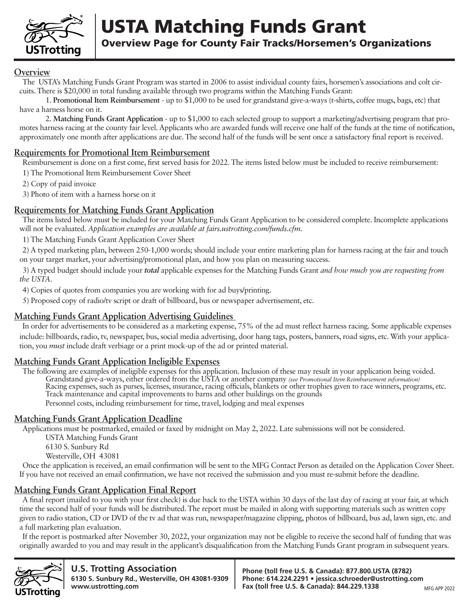

USTA Matching Funds Grant Overview Page for County Fair Tracks/Horsemen's Organizations

#### **Overview**

The USTA's Matching Funds Grant Program was started in 2006 to assist individual county fairs, horsemen's associations and colt circuits. There is \$20,000 in total funding available through two programs within the Matching Funds Grant:

1. **Promotional Item Reimbursement** - up to \$1,000 to be used for grandstand give-a-ways (t-shirts, coffee mugs, bags, etc) that have a harness horse on it.

2. **Matching Funds Grant Application** - up to \$1,000 to each selected group to support a marketing/advertising program that promotes harness racing at the county fair level. Applicants who are awarded funds will receive one half of the funds at the time of notification, approximately one month after applications are due. The second half of the funds will be sent once a satisfactory final report is received.

#### **Requirements for Promotional Item Reimbursement**

Reimbursement is done on a first come, first served basis for 2022. The items listed below must be included to receive reimbursement:

1) The Promotional Item Reimbursement Cover Sheet

2) Copy of paid invoice

3) Photo of item with a harness horse on it

#### **Requirements for Matching Funds Grant Application**

The items listed below must be included for your Matching Funds Grant Application to be considered complete. Incomplete applications will not be evaluated. *Application examples are available at fairs.ustrotting.com/funds.cfm.*

1) The Matching Funds Grant Application Cover Sheet

2) A typed marketing plan, between 250-1,000 words; should include your entire marketing plan for harness racing at the fair and touch on your target market, your advertising/promotional plan, and how you plan on measuring success.

3) A typed budget should include your *total* applicable expenses for the Matching Funds Grant *and how much you are requesting from the USTA*.

4) Copies of quotes from companies you are working with for ad buys/printing.

5) Proposed copy of radio/tv script or draft of billboard, bus or newspaper advertisement, etc.

#### **Matching Funds Grant Application Advertising Guidelines**

In order for advertisements to be considered as a marketing expense, 75% of the ad must reflect harness racing. Some applicable expenses include: billboards, radio, tv, newspaper, bus, social media advertising, door hang tags, posters, banners, road signs, etc. With your application, you *must* include draft verbiage or a print mock-up of the ad or printed material.

#### **Matching Funds Grant Application Ineligible Expenses**

The following are examples of ineligible expenses for this application. Inclusion of these may result in your application being voided. Grandstand give-a-ways, either ordered from the USTA or another company *(see Promotional Item Reimbursement information)* Racing expenses, such as purses, licenses, insurance, racing officials, blankets or other trophies given to race winners, programs, etc. Track maintenance and capital improvements to barns and other buildings on the grounds Personnel costs, including reimbursement for time, travel, lodging and meal expenses

#### **Matching Funds Grant Application Deadline**

Applications must be postmarked, emailed or faxed by midnight on May 2, 2022. Late submissions will not be considered.

USTA Matching Funds Grant

6130 S. Sunbury Rd

Westerville, OH 43081

Once the application is received, an email confirmation will be sent to the MFG Contact Person as detailed on the Application Cover Sheet. If you have not received an email confirmation, we have not received the submission and you must re-submit before the deadline.

#### **Matching Funds Grant Application Final Report**

A final report (mailed to you with your first check) is due back to the USTA within 30 days of the last day of racing at your fair, at which time the second half of your funds will be distributed. The report must be mailed in along with supporting materials such as written copy given to radio station, CD or DVD of the tv ad that was run, newspaper/magazine clipping, photos of billboard, bus ad, lawn sign, etc. and a full marketing plan evaluation.

If the report is postmarked after November 30, 2022, your organization may not be eligible to receive the second half of funding that was originally awarded to you and may result in the applicant's disqualification from the Matching Funds Grant program in subsequent years.



**U.S. Trotting Association 6130 S. Sunbury Rd., Westerville, OH 43081-9309 www.ustrotting.com**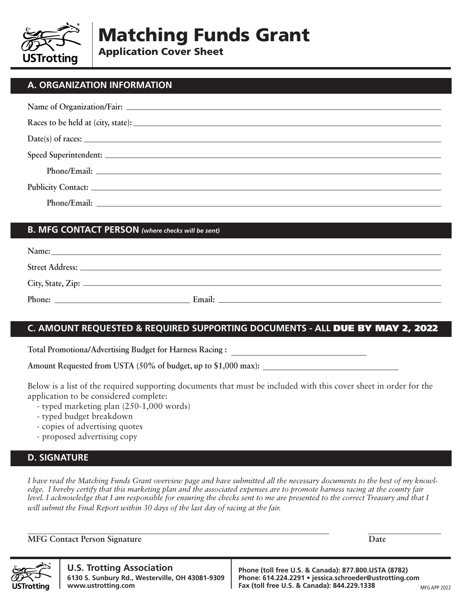

Matching Funds Grant

Application Cover Sheet

## **A. ORGANIZATION INFORMATION**

#### **B. MFG CONTACT PERSON** *(where checks will be sent)*

| Name:           |        |  |
|-----------------|--------|--|
| Street Address: |        |  |
|                 |        |  |
| Phone:          | Email: |  |

# **C. AMOUNT REQUESTED & REQUIRED SUPPORTING DOCUMENTS - ALL** DUE BY MAY 2, 2022

**Total Promotiona/Advertising Budget for Harness Racing :** 

**Amount Requested from USTA (50% of budget, up to \$1,000 max):**

Below is a list of the required supporting documents that must be included with this cover sheet in order for the application to be considered complete:

- typed marketing plan (250-1,000 words)
- typed budget breakdown
- copies of advertising quotes
- proposed advertising copy

## **D. SIGNATURE**

*I have read the Matching Funds Grant overview page and have submitted all the necessary documents to the best of my knowledge. I hereby certify that this marketing plan and the associated expenses are to promote harness racing at the county fair level. I acknowledge that I am responsible for ensuring the checks sent to me are presented to the correct Treasury and that I will submit the Final Report within 30 days of the last day of racing at the fair.*

**MFG Contact Person Signature Date** Date Date Date Date



**U.S. Trotting Association 6130 S. Sunbury Rd., Westerville, OH 43081-9309 www.ustrotting.com**

**Phone (toll free U.S. & Canada): 877.800.USTA (8782) Phone: 614.224.2291 • jessica.schroeder@ustrotting.com Fax (toll free U.S. & Canada): 844.229.1338**